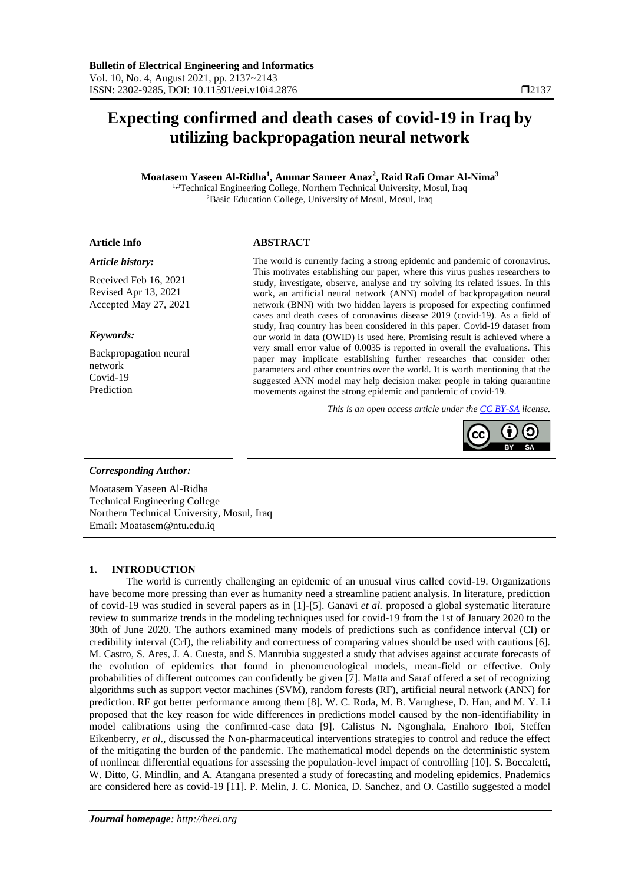# **Expecting confirmed and death cases of covid-19 in Iraq by utilizing backpropagation neural network**

# **Moatasem Yaseen Al-Ridha<sup>1</sup> , Ammar Sameer Anaz<sup>2</sup> , Raid Rafi Omar Al-Nima<sup>3</sup>**

<sup>1,3</sup>Technical Engineering College, Northern Technical University, Mosul, Iraq <sup>2</sup>Basic Education College, University of Mosul, Mosul, Iraq

### *Article history:*

Received Feb 16, 2021 Revised Apr 13, 2021 Accepted May 27, 2021

#### *Keywords:*

Backpropagation neural network Covid-19 Prediction

# **Article Info ABSTRACT**

The world is currently facing a strong epidemic and pandemic of coronavirus. This motivates establishing our paper, where this virus pushes researchers to study, investigate, observe, analyse and try solving its related issues. In this work, an artificial neural network (ANN) model of backpropagation neural network (BNN) with two hidden layers is proposed for expecting confirmed cases and death cases of coronavirus disease 2019 (covid-19). As a field of study, Iraq country has been considered in this paper. Covid-19 dataset from our world in data (OWID) is used here. Promising result is achieved where a very small error value of 0.0035 is reported in overall the evaluations. This paper may implicate establishing further researches that consider other parameters and other countries over the world. It is worth mentioning that the suggested ANN model may help decision maker people in taking quarantine movements against the strong epidemic and pandemic of covid-19.

*This is an open access article under th[e CC BY-SA](https://creativecommons.org/licenses/by-sa/4.0/) license.*



# *Corresponding Author:*

Moatasem Yaseen Al-Ridha Technical Engineering College Northern Technical University, Mosul, Iraq Email: Moatasem@ntu.edu.iq

# **1. INTRODUCTION**

The world is currently challenging an epidemic of an unusual virus called covid-19. Organizations have become more pressing than ever as humanity need a streamline patient analysis. In literature, prediction of covid-19 was studied in several papers as in [1]-[5]. Ganavi *et al.* proposed a global systematic literature review to summarize trends in the modeling techniques used for covid-19 from the 1st of January 2020 to the 30th of June 2020. The authors examined many models of predictions such as confidence interval (CI) or credibility interval (CrI), the reliability and correctness of comparing values should be used with cautious [6]. M. Castro, S. Ares, J. A. Cuesta, and S. Manrubia suggested a study that advises against accurate forecasts of the evolution of epidemics that found in phenomenological models, mean-field or effective. Only probabilities of different outcomes can confidently be given [7]. Matta and Saraf offered a set of recognizing algorithms such as support vector machines (SVM), random forests (RF), artificial neural network (ANN) for prediction. RF got better performance among them [8]. W. C. Roda, M. B. Varughese, D. Han, and M. Y. Li proposed that the key reason for wide differences in predictions model caused by the non-identifiability in model calibrations using the confirmed-case data [9]. Calistus N. Ngonghala, Enahoro Iboi, Steffen Eikenberry, *et al*., discussed the Non-pharmaceutical interventions strategies to control and reduce the effect of the mitigating the burden of the pandemic. The mathematical model depends on the deterministic system of nonlinear differential equations for assessing the population-level impact of controlling [10]. S. Boccaletti, W. Ditto, G. Mindlin, and A. Atangana presented a study of forecasting and modeling epidemics. Pnademics are considered here as covid-19 [11]. P. Melin, J. C. Monica, D. Sanchez, and O. Castillo suggested a model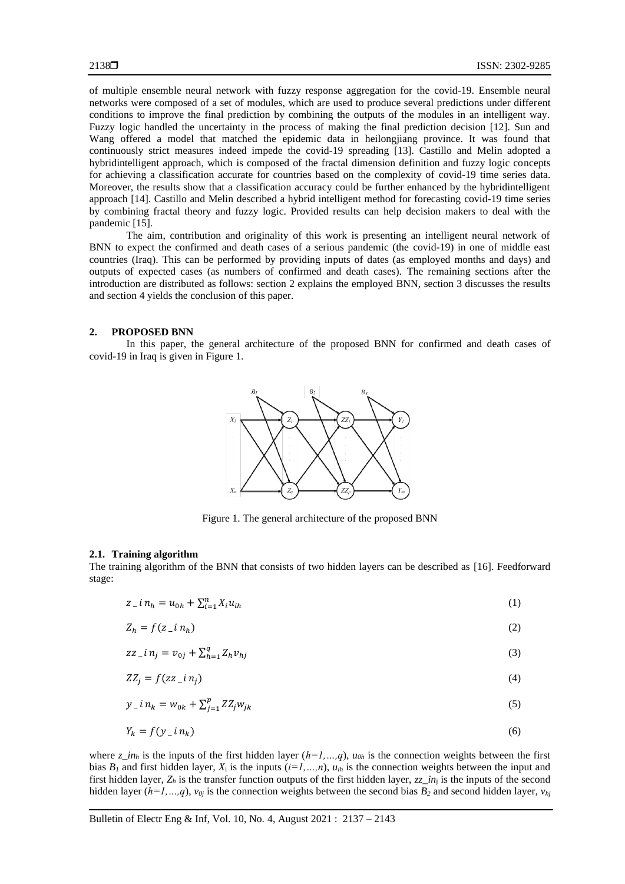of multiple ensemble neural network with fuzzy response aggregation for the covid-19. Ensemble neural networks were composed of a set of modules, which are used to produce several predictions under different conditions to improve the final prediction by combining the outputs of the modules in an intelligent way. Fuzzy logic handled the uncertainty in the process of making the final prediction decision [12]. Sun and Wang offered a model that matched the epidemic data in heilongjiang province. It was found that continuously strict measures indeed impede the covid-19 spreading [13]. Castillo and Melin adopted a hybridintelligent approach, which is composed of the fractal dimension definition and fuzzy logic concepts for achieving a classification accurate for countries based on the complexity of covid-19 time series data. Moreover, the results show that a classification accuracy could be further enhanced by the hybridintelligent approach [14]. Castillo and Melin described a hybrid intelligent method for forecasting covid-19 time series by combining fractal theory and fuzzy logic. Provided results can help decision makers to deal with the pandemic [15].

The aim, contribution and originality of this work is presenting an intelligent neural network of BNN to expect the confirmed and death cases of a serious pandemic (the covid-19) in one of middle east countries (Iraq). This can be performed by providing inputs of dates (as employed months and days) and outputs of expected cases (as numbers of confirmed and death cases). The remaining sections after the introduction are distributed as follows: section 2 explains the employed BNN, section 3 discusses the results and section 4 yields the conclusion of this paper.

#### **2. PROPOSED BNN**

In this paper, the general architecture of the proposed BNN for confirmed and death cases of covid-19 in Iraq is given in Figure 1.



Figure 1. The general architecture of the proposed BNN

#### **2.1. Training algorithm**

The training algorithm of the BNN that consists of two hidden layers can be described as [16]. Feedforward stage:

$$
z_{-}i n_{h} = u_{0h} + \sum_{i=1}^{n} X_{i} u_{ih}
$$
 (1)

$$
Z_h = f(z_- i n_h) \tag{2}
$$

$$
zz\_in_j = v_{0j} + \sum_{h=1}^{q} Z_h v_{hj}
$$
\n
$$
(3)
$$

$$
ZZ_j = f(zz\_in_j) \tag{4}
$$

$$
y_{-}i n_{k} = w_{0k} + \sum_{j=1}^{p} Z Z_{j} w_{jk}
$$
\n(5)

$$
Y_k = f(y \dot{a} \cdot n_k) \tag{6}
$$

where  $z_i$  *in<sub>h</sub>* is the inputs of the first hidden layer  $(h=1,...,q)$ ,  $u_{0h}$  is the connection weights between the first bias  $B_l$  and first hidden layer,  $X_i$  is the inputs  $(i=1,...,n)$ ,  $u_{ih}$  is the connection weights between the input and first hidden layer,  $Z_h$  is the transfer function outputs of the first hidden layer,  $zz_in_j$  is the inputs of the second hidden layer (*h*=*1, ...,q*), *v*<sub>0</sub>*j* is the connection weights between the second bias  $B_2$  and second hidden layer, *v*<sub>*hj*</sub>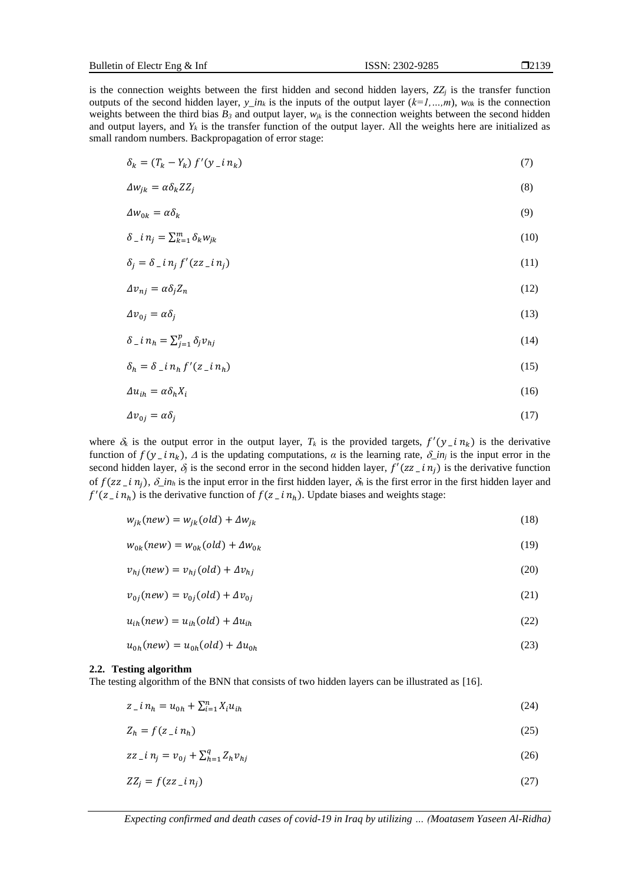is the connection weights between the first hidden and second hidden layers,  $ZZ_j$  is the transfer function outputs of the second hidden layer,  $y_{in}$  is the inputs of the output layer  $(k=1,...,m)$ ,  $w_{0k}$  is the connection weights between the third bias  $B_3$  and output layer,  $w_{ik}$  is the connection weights between the second hidden and output layers, and  $Y_k$  is the transfer function of the output layer. All the weights here are initialized as small random numbers. Backpropagation of error stage:

$$
\delta_k = (T_k - Y_k) f'(y_i \cdot i n_k) \tag{7}
$$

$$
\Delta w_{jk} = \alpha \delta_k Z Z_j \tag{8}
$$

$$
\Delta w_{0k} = \alpha \delta_k \tag{9}
$$

$$
\delta_{-}i n_{j} = \sum_{k=1}^{m} \delta_{k} w_{jk}
$$
\n<sup>(10)</sup>

$$
\delta_j = \delta_{i} n_j f'(zz_{i} n_j) \tag{11}
$$

$$
\Delta v_{nj} = \alpha \delta_j Z_n \tag{12}
$$

$$
\Delta v_{0j} = \alpha \delta_j \tag{13}
$$

$$
\delta_{-}i n_h = \sum_{j=1}^p \delta_j v_{hj} \tag{14}
$$

$$
\delta_h = \delta_{\mu} i n_h f'(z_{\mu} i n_h) \tag{15}
$$

$$
\Delta u_{ih} = \alpha \delta_h X_i \tag{16}
$$

$$
\Delta v_{0j} = \alpha \delta_j \tag{17}
$$

where  $\delta_k$  is the output error in the output layer,  $T_k$  is the provided targets,  $f'(y_i/n_k)$  is the derivative function of  $f(y \nin_k)$ ,  $\Delta$  is the updating computations,  $\alpha$  is the learning rate,  $\delta \nin_j$  is the input error in the second hidden layer,  $\delta_j$  is the second error in the second hidden layer,  $f'(zz \, \text{if } n_j)$  is the derivative function of  $f(zz \text{ }i\text{ }n_i)$ ,  $\delta \text{ }i\text{ }n_h$  is the input error in the first hidden layer,  $\delta_h$  is the first error in the first hidden layer and  $f'(z_i/n_h)$  is the derivative function of  $f(z_i/n_h)$ . Update biases and weights stage:

$$
w_{jk}(new) = w_{jk}(old) + \Delta w_{jk}
$$
\n(18)

$$
w_{0k}(new) = w_{0k}(old) + \Delta w_{0k} \tag{19}
$$

$$
v_{hj}(new) = v_{hj}(old) + \Delta v_{hj}
$$
\n<sup>(20)</sup>

$$
v_{0j}(new) = v_{0j}(old) + \Delta v_{0j}
$$
\n<sup>(21)</sup>

$$
u_{ih}(new) = u_{ih}(old) + \Delta u_{ih}
$$
\n(22)

$$
u_{0h}(new) = u_{0h}(old) + \Delta u_{0h}
$$
\n<sup>(23)</sup>

#### **2.2. Testing algorithm**

The testing algorithm of the BNN that consists of two hidden layers can be illustrated as [16].

$$
z_{-}i n_{h} = u_{0h} + \sum_{i=1}^{n} X_{i} u_{ih}
$$
\n(24)

$$
Z_h = f(z_i \cdot n_h) \tag{25}
$$

$$
zz_{\perp} i n_j = v_{0j} + \sum_{h=1}^{q} Z_h v_{hj} \tag{26}
$$

$$
ZZ_j = f(zz\_in_j) \tag{27}
$$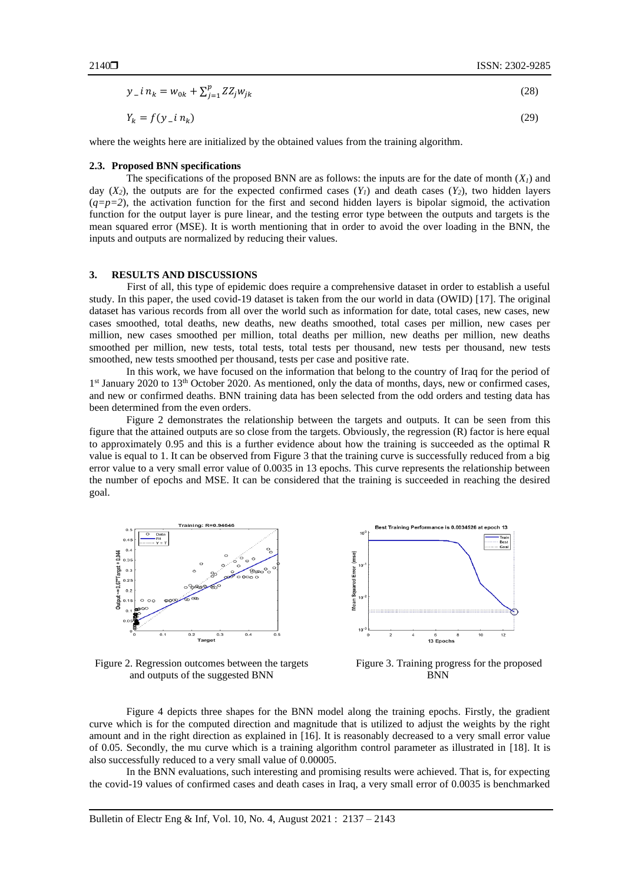$$
y_{-}i n_{k} = w_{0k} + \sum_{j=1}^{p} ZZ_{j}w_{jk}
$$
\n
$$
Y_{k} = f(y_{-}i n_{k})
$$
\n(29)

where the weights here are initialized by the obtained values from the training algorithm.

#### **2.3. Proposed BNN specifications**

The specifications of the proposed BNN are as follows: the inputs are for the date of month  $(X<sub>l</sub>)$  and day  $(X_2)$ , the outputs are for the expected confirmed cases  $(Y_1)$  and death cases  $(Y_2)$ , two hidden layers  $(q=p=2)$ , the activation function for the first and second hidden layers is bipolar sigmoid, the activation function for the output layer is pure linear, and the testing error type between the outputs and targets is the mean squared error (MSE). It is worth mentioning that in order to avoid the over loading in the BNN, the inputs and outputs are normalized by reducing their values.

#### **3. RESULTS AND DISCUSSIONS**

First of all, this type of epidemic does require a comprehensive dataset in order to establish a useful study. In this paper, the used covid-19 dataset is taken from the our world in data (OWID) [17]. The original dataset has various records from all over the world such as information for date, total cases, new cases, new cases smoothed, total deaths, new deaths, new deaths smoothed, total cases per million, new cases per million, new cases smoothed per million, total deaths per million, new deaths per million, new deaths smoothed per million, new tests, total tests, total tests per thousand, new tests per thousand, new tests smoothed, new tests smoothed per thousand, tests per case and positive rate.

In this work, we have focused on the information that belong to the country of Iraq for the period of 1<sup>st</sup> January 2020 to 13<sup>th</sup> October 2020. As mentioned, only the data of months, days, new or confirmed cases, and new or confirmed deaths. BNN training data has been selected from the odd orders and testing data has been determined from the even orders.

Figure 2 demonstrates the relationship between the targets and outputs. It can be seen from this figure that the attained outputs are so close from the targets. Obviously, the regression (R) factor is here equal to approximately 0.95 and this is a further evidence about how the training is succeeded as the optimal R value is equal to 1. It can be observed from Figure 3 that the training curve is successfully reduced from a big error value to a very small error value of 0.0035 in 13 epochs. This curve represents the relationship between the number of epochs and MSE. It can be considered that the training is succeeded in reaching the desired goal.



Figure 2. Regression outcomes between the targets and outputs of the suggested BNN



Figure 3. Training progress for the proposed **BNN** 

Figure 4 depicts three shapes for the BNN model along the training epochs. Firstly, the gradient curve which is for the computed direction and magnitude that is utilized to adjust the weights by the right amount and in the right direction as explained in [16]. It is reasonably decreased to a very small error value of 0.05. Secondly, the mu curve which is a training algorithm control parameter as illustrated in [18]. It is also successfully reduced to a very small value of 0.00005.

In the BNN evaluations, such interesting and promising results were achieved. That is, for expecting the covid-19 values of confirmed cases and death cases in Iraq, a very small error of 0.0035 is benchmarked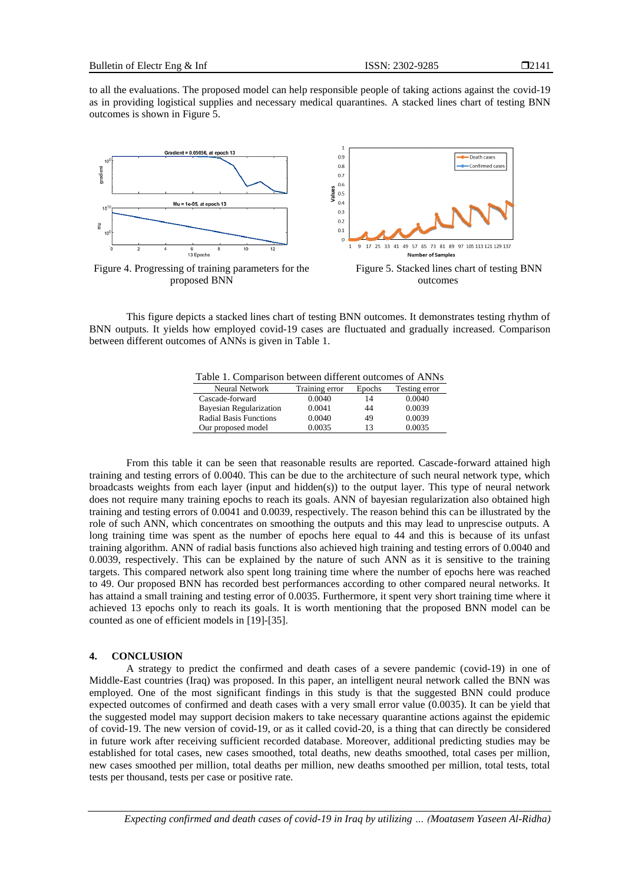to all the evaluations. The proposed model can help responsible people of taking actions against the covid-19 as in providing logistical supplies and necessary medical quarantines. A stacked lines chart of testing BNN outcomes is shown in Figure 5.



Figure 4. Progressing of training parameters for the proposed BNN

Figure 5. Stacked lines chart of testing BNN outcomes

This figure depicts a stacked lines chart of testing BNN outcomes. It demonstrates testing rhythm of BNN outputs. It yields how employed covid-19 cases are fluctuated and gradually increased. Comparison between different outcomes of ANNs is given in Table 1.

| Table 1. Comparison between different outcomes of ANNs |                                     |  |
|--------------------------------------------------------|-------------------------------------|--|
| Neural Network                                         | Training error Frochs Testing error |  |

| Neural Network                | Training error | Epochs | Testing error |
|-------------------------------|----------------|--------|---------------|
| Cascade-forward               | 0.0040         | 14     | 0.0040        |
| Bayesian Regularization       | 0.0041         | 44     | 0.0039        |
| <b>Radial Basis Functions</b> | 0.0040         | 49     | 0.0039        |
| Our proposed model            | 0.0035         | 13     | 0.0035        |

From this table it can be seen that reasonable results are reported. Cascade-forward attained high training and testing errors of 0.0040. This can be due to the architecture of such neural network type, which broadcasts weights from each layer (input and hidden(s)) to the output layer. This type of neural network does not require many training epochs to reach its goals. ANN of bayesian regularization also obtained high training and testing errors of 0.0041 and 0.0039, respectively. The reason behind this can be illustrated by the role of such ANN, which concentrates on smoothing the outputs and this may lead to unprescise outputs. A long training time was spent as the number of epochs here equal to 44 and this is because of its unfast training algorithm. ANN of radial basis functions also achieved high training and testing errors of 0.0040 and 0.0039, respectively. This can be explained by the nature of such ANN as it is sensitive to the training targets. This compared network also spent long training time where the number of epochs here was reached to 49. Our proposed BNN has recorded best performances according to other compared neural networks. It has attaind a small training and testing error of 0.0035. Furthermore, it spent very short training time where it achieved 13 epochs only to reach its goals. It is worth mentioning that the proposed BNN model can be counted as one of efficient models in [19]-[35].

#### **4. CONCLUSION**

A strategy to predict the confirmed and death cases of a severe pandemic (covid-19) in one of Middle-East countries (Iraq) was proposed. In this paper, an intelligent neural network called the BNN was employed. One of the most significant findings in this study is that the suggested BNN could produce expected outcomes of confirmed and death cases with a very small error value (0.0035). It can be yield that the suggested model may support decision makers to take necessary quarantine actions against the epidemic of covid-19. The new version of covid-19, or as it called covid-20, is a thing that can directly be considered in future work after receiving sufficient recorded database. Moreover, additional predicting studies may be established for total cases, new cases smoothed, total deaths, new deaths smoothed, total cases per million, new cases smoothed per million, total deaths per million, new deaths smoothed per million, total tests, total tests per thousand, tests per case or positive rate.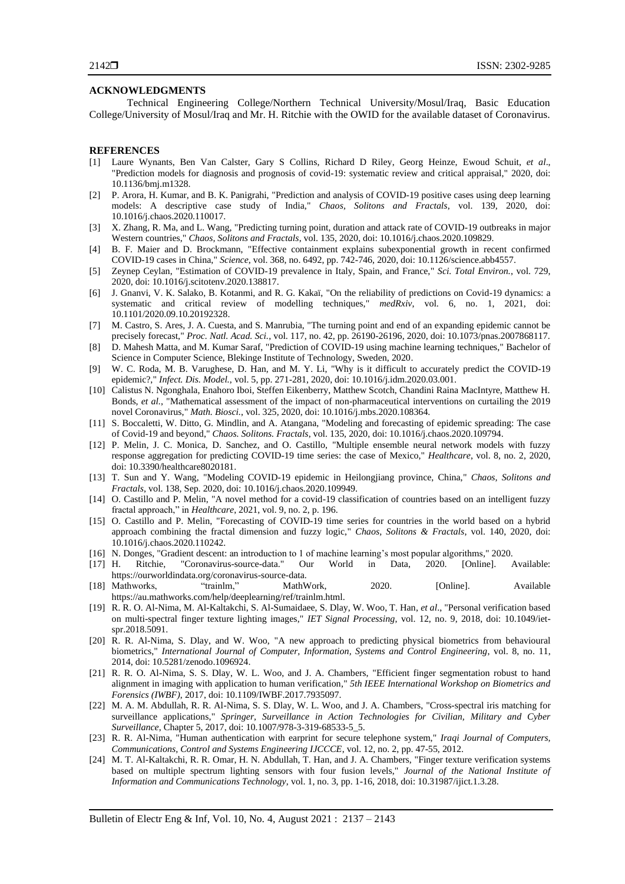#### **ACKNOWLEDGMENTS**

Technical Engineering College/Northern Technical University/Mosul/Iraq, Basic Education College/University of Mosul/Iraq and Mr. H. Ritchie with the OWID for the available dataset of Coronavirus.

#### **REFERENCES**

- [1] Laure Wynants, Ben Van Calster, Gary S Collins, Richard D Riley, Georg Heinze, Ewoud Schuit, *et al*., "Prediction models for diagnosis and prognosis of covid-19: systematic review and critical appraisal," 2020, doi: 10.1136/bmj.m1328.
- [2] P. Arora, H. Kumar, and B. K. Panigrahi, "Prediction and analysis of COVID-19 positive cases using deep learning models: A descriptive case study of India," *Chaos, Solitons and Fractals*, vol. 139, 2020, doi: 10.1016/j.chaos.2020.110017.
- [3] X. Zhang, R. Ma, and L. Wang, "Predicting turning point, duration and attack rate of COVID-19 outbreaks in major Western countries," *Chaos, Solitons and Fractals*, vol. 135, 2020, doi: 10.1016/j.chaos.2020.109829.
- [4] B. F. Maier and D. Brockmann, "Effective containment explains subexponential growth in recent confirmed COVID-19 cases in China," *Science*, vol. 368, no. 6492, pp. 742-746, 2020, doi: 10.1126/science.abb4557.
- [5] Zeynep Ceylan, "Estimation of COVID-19 prevalence in Italy, Spain, and France," *Sci. Total Environ.*, vol. 729, 2020, doi: 10.1016/j.scitotenv.2020.138817.
- [6] J. Gnanvi, V. K. Salako, B. Kotanmi, and R. G. Kakaï, "On the reliability of predictions on Covid-19 dynamics: a systematic and critical review of modelling techniques," *medRxiv*, vol. 6, no. 1, 2021, doi: 10.1101/2020.09.10.20192328.
- [7] M. Castro, S. Ares, J. A. Cuesta, and S. Manrubia, "The turning point and end of an expanding epidemic cannot be precisely forecast," *Proc. Natl. Acad. Sci.*, vol. 117, no. 42, pp. 26190-26196, 2020, doi: 10.1073/pnas.2007868117.
- [8] D. Mahesh Matta, and M. Kumar Saraf, "Prediction of COVID-19 using machine learning techniques," Bachelor of Science in Computer Science, Blekinge Institute of Technology, Sweden, 2020.
- [9] W. C. Roda, M. B. Varughese, D. Han, and M. Y. Li, "Why is it difficult to accurately predict the COVID-19 epidemic?," *Infect. Dis. Model.*, vol. 5, pp. 271-281, 2020, doi: 10.1016/j.idm.2020.03.001.
- [10] Calistus N. Ngonghala, Enahoro Iboi, Steffen Eikenberry, Matthew Scotch, Chandini Raina MacIntyre, Matthew H. Bonds, *et al.*, "Mathematical assessment of the impact of non-pharmaceutical interventions on curtailing the 2019 novel Coronavirus," *Math. Biosci.*, vol. 325, 2020, doi: 10.1016/j.mbs.2020.108364.
- [11] S. Boccaletti, W. Ditto, G. Mindlin, and A. Atangana, "Modeling and forecasting of epidemic spreading: The case of Covid-19 and beyond," *Chaos. Solitons. Fractals*, vol. 135, 2020, doi: 10.1016/j.chaos.2020.109794.
- [12] P. Melin, J. C. Monica, D. Sanchez, and O. Castillo, "Multiple ensemble neural network models with fuzzy response aggregation for predicting COVID-19 time series: the case of Mexico," *Healthcare*, vol. 8, no. 2, 2020, doi: 10.3390/healthcare8020181.
- [13] T. Sun and Y. Wang, "Modeling COVID-19 epidemic in Heilongjiang province, China," *Chaos, Solitons and Fractals*, vol. 138, Sep. 2020, doi: 10.1016/j.chaos.2020.109949.
- [14] O. Castillo and P. Melin, "A novel method for a covid-19 classification of countries based on an intelligent fuzzy fractal approach," in *Healthcare*, 2021, vol. 9, no. 2, p. 196.
- [15] O. Castillo and P. Melin, "Forecasting of COVID-19 time series for countries in the world based on a hybrid approach combining the fractal dimension and fuzzy logic," *Chaos, Solitons & Fractals*, vol. 140, 2020, doi: 10.1016/j.chaos.2020.110242.
- [16] N. Donges, "Gradient descent: an introduction to 1 of machine learning's most popular algorithms," 2020.
- [17] H. Ritchie, "Coronavirus-source-data." Our World in Data, 2020. [Online]. Available: https://ourworldindata.org/coronavirus-source-data.
- [18] Mathworks, "trainlm," MathWork, 2020. [Online]. Available https://au.mathworks.com/help/deeplearning/ref/trainlm.html.
- [19] R. R. O. Al-Nima, M. Al-Kaltakchi, S. Al-Sumaidaee, S. Dlay, W. Woo, T. Han, *et al*., "Personal verification based on multi-spectral finger texture lighting images," *IET Signal Processing*, vol. 12, no. 9, 2018, doi: 10.1049/ietspr.2018.5091.
- [20] R. R. Al-Nima, S. Dlay, and W. Woo, "A new approach to predicting physical biometrics from behavioural biometrics," *International Journal of Computer, Information, Systems and Control Engineering*, vol. 8, no. 11, 2014, doi: 10.5281/zenodo.1096924.
- [21] R. R. O. Al-Nima, S. S. Dlay, W. L. Woo, and J. A. Chambers, "Efficient finger segmentation robust to hand alignment in imaging with application to human verification," *5th IEEE International Workshop on Biometrics and Forensics (IWBF)*, 2017, doi: 10.1109/IWBF.2017.7935097.
- [22] M. A. M. Abdullah, R. R. Al-Nima, S. S. Dlay, W. L. Woo, and J. A. Chambers, "Cross-spectral iris matching for surveillance applications," *Springer, Surveillance in Action Technologies for Civilian, Military and Cyber Surveillance*, Chapter 5, 2017, doi: 10.1007/978-3-319-68533-5\_5.
- [23] R. R. Al-Nima, "Human authentication with earprint for secure telephone system," *Iraqi Journal of Computers, Communications, Control and Systems Engineering IJCCCE*, vol. 12, no. 2, pp. 47-55, 2012.
- [24] M. T. Al-Kaltakchi, R. R. Omar, H. N. Abdullah, T. Han, and J. A. Chambers, "Finger texture verification systems based on multiple spectrum lighting sensors with four fusion levels," *Journal of the National Institute of Information and Communications Technology*, vol. 1, no. 3, pp. 1-16, 2018, doi: 10.31987/ijict.1.3.28.